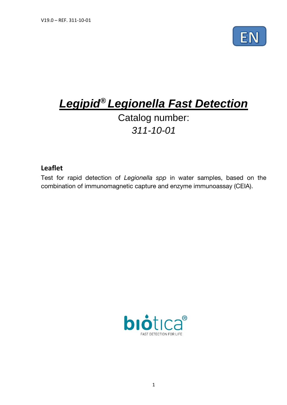

# *Legipid® Legionella Fast Detection*

# Catalog number: *311-10-01*

# **Leaflet**

Test for rapid detection of *Legionella spp* in water samples, based on the combination of immunomagnetic capture and enzyme immunoassay (CEIA).

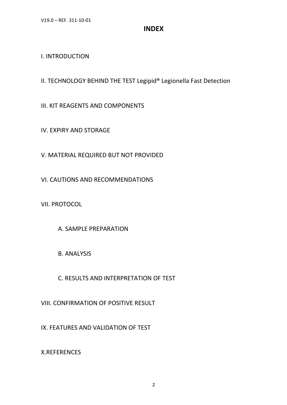# **INDEX**

# I. INTRODUCTION

II. TECHNOLOGY BEHIND THE TEST Legipid® Legionella Fast Detection

III. KIT REAGENTS AND COMPONENTS

IV. EXPIRY AND STORAGE

V. MATERIAL REQUIRED BUT NOT PROVIDED

VI. CAUTIONS AND RECOMMENDATIONS

VII. PROTOCOL

A. SAMPLE PREPARATION

B. ANALYSIS

C. RESULTS AND INTERPRETATION OF TEST

VIII. CONFIRMATION OF POSITIVE RESULT

IX. FEATURES AND VALIDATION OF TEST

X.REFERENCES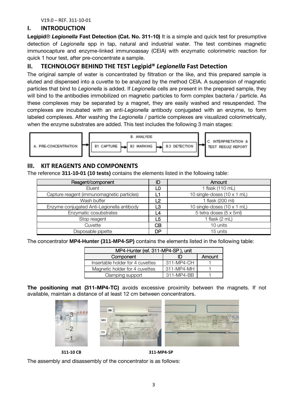V19.0 – REF. 311-10-01

## **I. INTRODUCTION**

**Legipid**® *Legionella* **Fast Detection (Cat. No. 311-10)** It is a simple and quick test for presumptive detection of *Legionella* spp in tap, natural and industrial water. The test combines magnetic immunocapture and enzyme-linked immunoassay (CEIA) with enzymatic colorimetric reaction for quick 1 hour test, after pre-concentrate a sample.

# **II. TECHNOLOGY BEHIND THE TEST Legipid®** *Legionella* **Fast Detection**

The original sample of water is concentrated by filtration or the like, and this prepared sample is eluted and dispensed into a cuvette to be analyzed by the method CEIA. A suspension of magnetic particles that bind to *Legionella* is added. If *Legionella* cells are present in the prepared sample, they will bind to the antibodies immobilized on magnetic particles to form complex bacteria / particle. As these complexes may be separated by a magnet, they are easily washed and resuspended. The complexes are incubated with an anti-*Legionella* antibody conjugated with an enzyme, to form labeled complexes. After washing the *Legionella* / particle complexes are visualized colorimetrically, when the enzyme substrates are added. This test includes the following 3 main stages:



# **III. KIT REAGENTS AND COMPONENTS**

The reference **311-10-01 (10 tests)** contains the elements listed in the following table:

| Reagent/component                          |     | Amount                      |  |
|--------------------------------------------|-----|-----------------------------|--|
| Eluent                                     | LO  | 1 flask (110 mL)            |  |
| Capture reagent (immunomagnetic particles) |     | 10 single-doses (10 x 1 mL) |  |
| Wash buffer                                | פ ו | 1 flask (200 ml)            |  |
| Enzyme conjugated Anti-Legionella antibody | LЗ  | 10 single-doses (10 x 1 mL) |  |
| Enzymatic cosubstrates                     | L4  | 5 tetra doses (5 x 5ml)     |  |
| Stop reagent                               | L5  | 1 flask $(2 \text{ mL})$    |  |
| Cuvette                                    | CВ  | 10 units                    |  |
| Disposable pipette                         | DP  | 15 units                    |  |

The concentrator **MP4-Hunter (311-MP4-SP)** contains the elements listed in the following table:

| MP4-Hunter (ref. 311-MP4-SP), unit |            |        |  |  |
|------------------------------------|------------|--------|--|--|
| Component                          | ID         | Amount |  |  |
| Insertable holder for 4 cuvettes   | 311-MP4-CH |        |  |  |
| Magnetic holder for 4 cuvettes     | 311-MP4-MH |        |  |  |
| Clamping support                   | 311-MP4-BB |        |  |  |

**The positioning mat (311-MP4-TC)** avoids excessive proximity between the magnets. If not available, maintain a distance of at least 12 cm between concentrators.



 **311-10 CB 311-MP4-SP** 

The assembly and disassembly of the concentrator is as follows: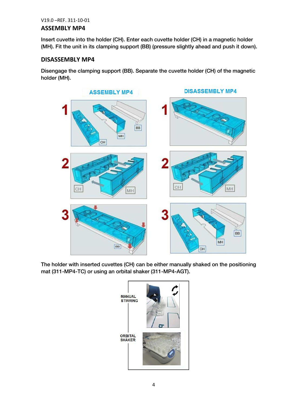#### V19.0 –REF. 311-10-01

#### **ASSEMBLY MP4**

 $I = \begin{pmatrix} 1 & 0 & 0 \\ 0 & 0 & 0 \end{pmatrix}$ . External into the holder (CH). Enter each curve holder (CH) is a magnetic holder (CH). In a magnetic holder (CH) in a magnetic holder (CH). In a magnetic holder (CH) is a magnetic holder (MH). Fit the unit in its clamping support (BB) (pressure slightly ahead and push it down).

### **DISASSEMBLY MP4**

Disengage the clamping support (BB). Separate the cuvette holder (CH) of the magnetic holder (MH).



 $T_{\text{max}}$  The manual manual manual manual  $\frac{1}{2}$  can be expected on the position on the position on the position on the position on the position on the position on the position of position on the position of position o

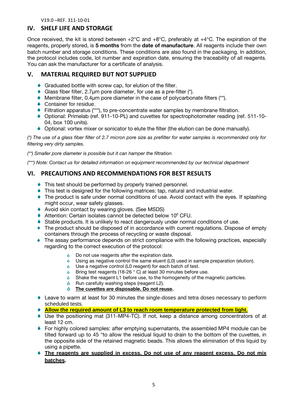V19.0 –REF. 311-10-01

# **IV. SHELF LIFE AND STORAGE**

Once received, the kit is stored between +2°C and +8°C, preferably at +4°C. The expiration of the reagents, properly stored, is **5 months** from the **date of manufacture**. All reagents include their own batch number and storage conditions. These conditions are also found in the packaging. In addition, the protocol includes code, lot number and expiration date, ensuring the traceability of all reagents. You can ask the manufacturer for a certificate of analysis.

# **V. MATERIAL REQUIRED BUT NOT SUPPLIED**

- Graduated bottle with screw cap, for elution of the filter.
- Glass fiber filter, 2.7μm pore diameter, for use as a pre-filter (\*).
- Membrane filter, 0.4μm pore diameter in the case of polycarbonate filters (\*\*).
- **◆ Container for residue.**
- Filtration apparatus (\*\*\*), to pre-concentrate water samples by membrane filtration.
- Optional: Primelab (ref. 911-10-PL) and cuvettes for spectrophotometer reading (ref. 511-10- 04, box 100 units).
- Optional: vortex mixer or sonicator to elute the filter (the elution can be done manually).

*(\*) The use of a glass fiber filter of 2.7 micron pore size as prefilter for water samples is recommended only for filtering very dirty samples.*

*(\*\*) Smaller pore diameter is possible but it can hamper the filtration.*

*(\*\*\*) Note: Contact us for detailed information on equipment recommended by our technical department*

# **VI. PRECAUTIONS AND RECOMMENDATIONS FOR BEST RESULTS**

- ◆ This test should be performed by properly trained personnel.
- This test is designed for the following matrices: tap, natural and industrial water.
- The product is safe under normal conditions of use. Avoid contact with the eyes. If splashing might occur, wear safety glasses.
- ◆ Avoid skin contact by wearing gloves. (See MSDS)
- $\blacklozenge$  Attention: Certain isolates cannot be detected below 10 $^6$  CFU.
- Stable products. It is unlikely to react dangerously under normal conditions of use.
- The product should be disposed of in accordance with current regulations. Dispose of empty containers through the process of recycling or waste disposal.
- The assay performance depends on strict compliance with the following practices, especially regarding to the correct execution of the protocol:
	- $\dot{\mathbf{o}}$ Do not use reagents after the expiration date.
	- $\dot{\mathbf{o}}$ Using as negative control the same eluent (L0) used in sample preparation (elution).
	- $\dot{\mathbf{o}}$ Use a negative control (L0 reagent) for each batch of test.
	- $\dot{\mathbf{o}}$ Bring test reagents (18-26 ° C) at least 30 minutes before use.
	- $\dot{\mathbf{o}}$ Shake the reagent L1 before use, to the homogeneity of the magnetic particles.
	- $\dot{\mathbf{o}}$ Run carefully washing steps (reagent L2).
	- $\dot{\mathbf{o}}$ **The cuvettes are disposable. Do not reuse.**
- Leave to warm at least for 30 minutes the single-doses and tetra doses necessary to perform scheduled tests.
- **Allow the required amount of L3 to reach room temperature protected from light.**
- Use the positioning mat (311-MP4-TC). If not, keep a distance among concentrators of at least 12 cm.
- For highly colored samples: after emptying supernatants, the assembled MP4 module can be tilted forward up to 45 °to allow the residual liquid to drain to the bottom of the cuvettes, in the opposite side of the retained magnetic beads. This allows the elimination of this liquid by using a pipette.
- **The reagents are supplied in excess. Do not use of any reagent excess. Do not mix batches.**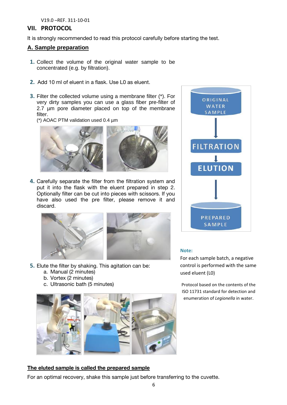# **VII. PROTOCOL**

It is strongly recommended to read this protocol carefully before starting the test.

# **A. Sample preparation**

- **1.** Collect the volume of the original water sample to be concentrated (e.g. by filtration).
- **2.** Add 10 ml of eluent in a flask. Use L0 as eluent.
- **3.** Filter the collected volume using a membrane filter (\*). For very dirty samples you can use a glass fiber pre-filter of 2.7 µm pore diameter placed on top of the membrane filter.
	- (\*) AOAC PTM validation used 0.4 µm



**4.** Carefully separate the filter from the filtration system and put it into the flask with the eluent prepared in step 2. Optionally filter can be cut into pieces with scissors. If you have also used the pre filter, please remove it and discard.



- **5.** Elute the filter by shaking. This agitation can be:
	- a. Manual (2 minutes)
	- b. Vortex (2 minutes)
	- c. Ultrasonic bath (5 minutes)



**The eluted sample is called the prepared sample** For an optimal recovery, shake this sample just before transferring to the cuvette.



#### **Note:**

For each sample batch, a negative control is performed with the same used eluent (L0)

Protocol based on the contents of the ISO 11731 standard for detection and enumeration of *Legionella* in water.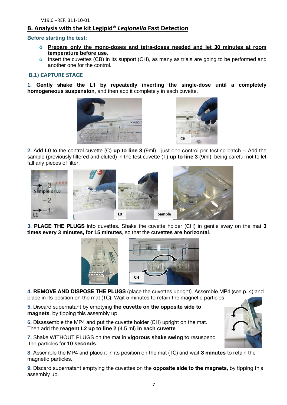# **B. Analysis with the kit Legipid®** *Legionella* **Fast Detection**

#### **Before starting the test:**

- **Prepare only the mono-doses and tetra-doses needed and let 30 minutes at room temperature before use.**
- $\dot{\bullet}$  Insert the cuvettes (CB) in its support (CH), as many as trials are going to be performed and another one for the control.

#### **B.1) CAPTURE STAGE**

**1. Gently shake the L1 by repeatedly inverting the single-dose until a completely homogeneous suspension**, and then add it completely in each cuvette.





**2.** Add **L0** to the control cuvette (C) **up to line 3** (9ml) - just one control per testing batch -. Add the sample (previously filtered and eluted) in the test cuvette (T) **up to line 3** (9ml), being careful not to let fall any pieces of filter.



**3. PLACE THE PLUGS** into cuvettes. Shake the cuvette holder (CH) in gentle sway on the mat **<sup>3</sup> times every 3 minutes, for 15 minutes**, so that the **cuvettes are horizontal**.



**4. REMOVE AND DISPOSE THE PLUGS** (place the cuvettes upright). Assemble MP4 (see p. 4) and place in its position on the mat (TC). Wait 5 minutes to retain the magnetic particles.

**5.** Discard supernatant by emptying **the cuvette on the opposite side to magnets**, by tipping this assembly up.

**6.** Disassemble the MP4 and put the cuvette holder (CH) upright on the mat. Then add the **reagent L2 up to line 2** (4.5 ml) **in each cuvette**.

**7.** Shake WITHOUT PLUGS on the mat in **vigorous shake swing** to resuspend the particles for **10 seconds**.

**8.** Assemble the MP4 and place it in its position on the mat (TC) and wait **3 minutes** to retain the magnetic particles.

**9.** Discard supernatant emptying the cuvettes on the **opposite side to the magnets**, by tipping this assembly up.

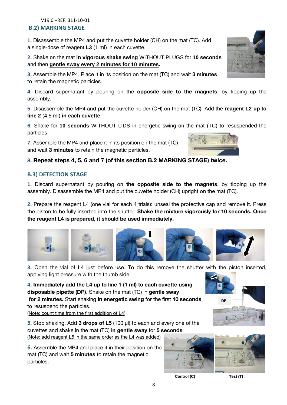# **B.2) MARKING STAGE**

**1.** Disassemble the MP4 and put the cuvette holder (CH) on the mat (TC). Add a single-dose of reagent **L3** (1 ml) in each cuvette.

**2.** Shake on the mat **in vigorous shake swing** WITHOUT PLUGS for **10 seconds** and then **gentle sway every 2 minutes for 10 minutes.**

**3.** Assemble the MP4. Place it in its position on the mat (TC) and wait **3 minutes** to retain the magnetic particles.

**4.** Discard supernatant by pouring on the **opposite side to the magnets**, by tipping up the assembly.

**5.** Disassemble the MP4 and put the cuvette holder (CH) on the mat (TC). Add the **reagent L2 up to line 2** (4.5 ml) **in each cuvette**.

**6.** Shake for **10 seconds** WITHOUT LIDS in energetic swing on the mat (TC) to resuspended the particles.

**7.** Assemble the MP4 and place it in its position on the mat (TC) and wait **3 minutes** to retain the magnetic particles.

# **8. Repeat steps 4, 5, 6 and 7 (of this section B.2 MARKING STAGE) twice.**

# **B.3) DETECTION STAGE**

**1.** Discard supernatant by pouring on **the opposite side to the magnets**, by tipping up the assembly. Disassemble the MP4 and put the cuvette holder (CH) upright on the mat (TC).

**2.** Prepare the reagent L4 (one vial for each 4 trials): unseal the protective cap and remove it. Press the piston to be fully inserted into the shutter. **Shake the mixture vigorously for 10 seconds. Once the reagent L4 is prepared, it should be used immediately.**

**3.** Open the vial of L4 just before use. To do this remove the shutter with the piston inserted, applying light pressure with the thumb side.

**4. Immediately add the L4 up to line 1 (1 ml) to each cuvette using disposable pipette (DP)**. Shake on the mat (TC) in **gentle sway for 2 minutes.** Start shaking **in energetic swing** for the first **10 seconds** to resuspend the particles.

(Note: count time from the first addition of L4)

**5.** Stop shaking. Add **3 drops of L5** (100 µl) to each and every one of the cuvettes and shake in the mat (TC) **in gentle sway** for **5 seconds**. (Note: add reagent L5 in the same order as the L4 was added)

**6.** Assemble the MP4 and place it in their position on the mat (TC) and wait **5 minutes** to retain the magnetic particles.



**DP**

**Control (C) Test (T)**



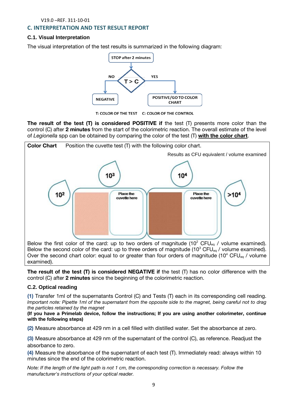# **C. INTERPRETATION AND TEST RESULT REPORT**

#### **C.1. Visual Interpretation**

The visual interpretation of the test results is summarized in the following diagram:



T: COLOR OF THE TEST C: COLOR OF THE CONTROL

**The result of the test (T) is considered POSITIVE if** the test (T) presents more color than the control (C) after **2 minutes** from the start of the colorimetric reaction. The overall estimate of the level



**The result of the test (T) is considered NEGATIVE if** the test (T) has no color difference with the control (C) after **2 minutes** since the beginning of the colorimetric reaction.

### **C.2. Optical reading**

**(1)** Transfer 1ml of the supernatants Control (C) and Tests (T) each in its corresponding cell reading. *Ine particles retained by the magnet* 

*(If you have a Primelab device, follow the instructions; If you are using another colorimeter, continue* with the following steps) **with the following steps)**

**(2)** Measure absorbance at 429 nm in a cell filled with distilled water. Set the absorbance at zero.

**(3)** Measure absorbance at 429 nm of the supernatant of the control (C), as reference. Readjust the absorbance to zero.

**(4)** Measure the absorbance of the supernatant of each test (T). Immediately read: always within 10 minutes since the end of the colorimetric reaction.

*note: If*  $\frac{1}{2}$  *corrections of your optical reader.*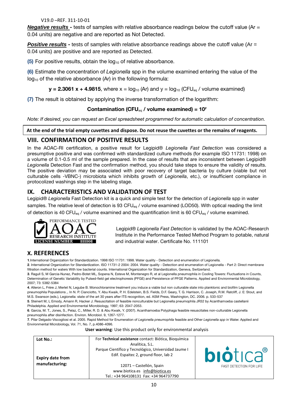#### V19.0 –REF. 311-10-01

*Negative results* **-** tests of samples with relative absorbance readings below the cutoff value (Ar = 0.04 units) are negative and are reported as Not Detected.

**Positive results** - tests of samples with relative absorbance readings above the cutoff value (Ar = 0.04 units) are positive and are reported as Detected.

**(5)** For positive results, obtain the log<sub>10</sub> of relative absorbance.

**(6)** Estimate the concentration of *Legionella* spp in the volume examined entering the value of the  $log_{10}$  of the relative absorbance (Ar) in the following formula:

**y** = 2.3061 x + 4.9815, where  $x = log_{10} (Ar)$  and  $y = log_{10} (CFU_{eq} / volume$  examined)

**(7)** The result is obtained by applying the inverse transformation of the logarithm:

### Contamination (CFU $_{eq}$  / volume examined) =  $10<sup>y</sup>$

*Note: If desired, you can request an Excel spreadsheet programmed for automatic calculation of concentration.*

**At the end of the trial empty cuvettes and dispose. Do not reuse the cuvettes or the remains of reagents.**

# **VIII. CONFIRMATION OF POSITIVE RESULTS**

In the AOAC-RI certification, a positive result for Legipid® *Legionella Fast Detection* was considered a presumptive positive and was confirmed with standardized culture methods (for example ISO 11731: 1998) on a volume of 0.1-0.5 ml of the sample prepared. In the case of results that are inconsistent between Legipid® *Legionella* Detection Fast and the confirmation method, you should take steps to ensure the validity of results. The positive deviation may be associated with poor recovery of target bacteria by culture (viable but not culturable cells -VBNC-) microbiota which inhibits growth of *Legionella*, etc.), or insufficient compliance in protocolized washings step in the labeling stage.

# **IX. CHARACTERISTICS AND VALIDATION OF TEST**

Legipid® *Legionella* Fast Detection kit is a quick and simple test for the detection of *Legionella* spp in water samples. The relative level of detection is 93 CFU<sub>eg</sub> / volume examined (LOD50). With optical reading the limit of detection is 40 CFU<sub>eq</sub> / volume examined and the quantification limit is 60 CFU<sub>eq</sub> / volume examined.



Legipid® *Legionella Fast Detection* is validated by the AOAC-Research Institute in the Performance Tested Method Program to potable, natural and industrial water. Certificate No. 111101

# **X. REFERENCES**

**1**.International Organization for Standardization. 1998 ISO 11731: 1998. Water quality - Detection and enumeration of Legionella.

**2**. International Organization for Standardization. ISO 11731-2 2004: 2004. Water quality - Detection and enumeration of Legionella - Part 2: Direct membrane filtration method for waters With low bacterial counts. International Organization for Standardization, Geneva, Switzerland.

**3**. Ragull S, M Garcia-Nunez, Pedro-Botet ML, Sopena N, Esteve M, Montenegro R, et al Legionella pneumophila in Cooling Towers: Fluctuations in Counts, Determination of Genetic Variability by Pulsed-field gel electrophoresis (PFGE) and Persistence of PFGE Patterns. Applied and Environmental Microbiology, 2007; 73: 5382-5384

**4**. Alleron L, Frère J, Merlet N, Legube B. Monochloramine treatment you induce a viable but non culturable state into planktonic and biofilm Legionella pneumophila Populations ,. In N. P. Cianciotto, Y. Abu Kwaik, P. H. Edelstein, B.S. Fields, D.F. Geary, T. G. Harrison, C. Joseph, R.M. Ratcliff, J. E: Stout, and M.S. Swanson (eds.), Legionella: state of the art 30 years after ITS recognition, ed. ASM Press, Washington, DC. 2006. p. 533-537

**5**. Steinert M, L Emody, Amann R, Hacker J. Resuscitation of feasible nonculturable but Legionella pneumophila JR32 by Acanthamoeba castellanii Philadelphia. Applied and Environmental Microbiology, 1997; 63: 2047-2053.

**6**. Garcia, M. T., Jones, S., Pelaz, C., Miller, R. D. & Abu Kwaik, Y. (2007). Acanthamoeba Polyphaga feasible resuscitates non-culturable Legionella pneumophila after disinfection. Environ. Microbiol. 9, 1267-1277.

**7**. Pilar Delgado-Viscogliosi et al. 2005. Rapid Method for Enumeration of *Legionella pneumophila* feasible and Other *Legionella spp* in Water. Applied and Environmental Microbiology, Vol. 71, No. 7, p.4086-4096.

**User warning**: Use this product only for environmental analysis

| Lot No.:<br><b>Expiry date from</b> | For Technical assistance contact: Biótica, Bioquímica<br>Analítica, S.L.<br>Parque Científico y Tecnológico, Universidad Jaume I<br>Edif. Espaitec 2, ground floor, lab 2 | <b>biotica</b> ®               |
|-------------------------------------|---------------------------------------------------------------------------------------------------------------------------------------------------------------------------|--------------------------------|
| manufacturing:                      | 12071 – Castellón, Spain<br>www.biotica.es info@biotica.es                                                                                                                | <b>FAST DETECTION FOR LIFE</b> |
|                                     | Tel.: +34 964108131 Fax: +34 964737790                                                                                                                                    |                                |